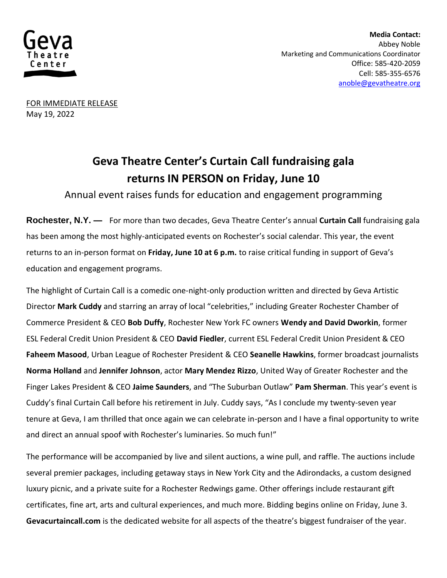

 **Media Contact:**  Abbey Noble Marketing and Communications Coordinator Office: 585-420-2059 Cell: 585-355-6576 [anoble@gevatheatre.org](mailto:anoble@gevatheatre.org)

FOR IMMEDIATE RELEASE May 19, 2022

## **Geva Theatre Center's Curtain Call fundraising gala returns IN PERSON on Friday, June 10**

Annual event raises funds for education and engagement programming

**Rochester, N.Y. —** For more than two decades, Geva Theatre Center's annual **Curtain Call** fundraising gala has been among the most highly-anticipated events on Rochester's social calendar. This year, the event returns to an in-person format on **Friday, June 10 at 6 p.m.** to raise critical funding in support of Geva's education and engagement programs.

The highlight of Curtain Call is a comedic one-night-only production written and directed by Geva Artistic Director **Mark Cuddy** and starring an array of local "celebrities," including Greater Rochester Chamber of Commerce President & CEO **Bob Duffy**, Rochester New York FC owners **Wendy and David Dworkin**, former ESL Federal Credit Union President & CEO **David Fiedler**, current ESL Federal Credit Union President & CEO **Faheem Masood**, Urban League of Rochester President & CEO **Seanelle Hawkins**, former broadcast journalists **Norma Holland** and **Jennifer Johnson**, actor **Mary Mendez Rizzo**, United Way of Greater Rochester and the Finger Lakes President & CEO **Jaime Saunders**, and "The Suburban Outlaw" **Pam Sherman**. This year's event is Cuddy's final Curtain Call before his retirement in July. Cuddy says, "As I conclude my twenty-seven year tenure at Geva, I am thrilled that once again we can celebrate in-person and I have a final opportunity to write and direct an annual spoof with Rochester's luminaries. So much fun!"

The performance will be accompanied by live and silent auctions, a wine pull, and raffle. The auctions include several premier packages, including getaway stays in New York City and the Adirondacks, a custom designed luxury picnic, and a private suite for a Rochester Redwings game. Other offerings include restaurant gift certificates, fine art, arts and cultural experiences, and much more. Bidding begins online on Friday, June 3. **Gevacurtaincall.com** is the dedicated website for all aspects of the theatre's biggest fundraiser of the year.